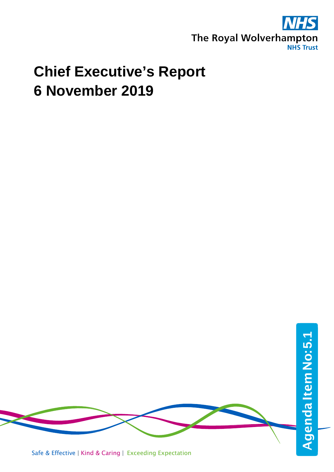

## **Chief Executive's Report 6 November 2019**

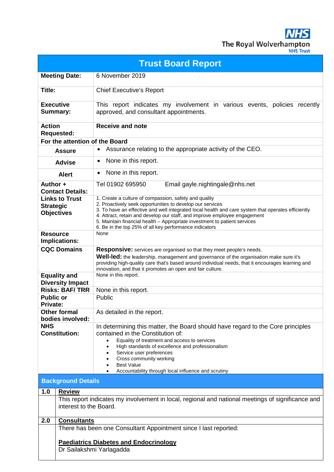**NHS** The Royal Wolverhampton

|  | <b>JHS Trust</b> |  |
|--|------------------|--|
|  |                  |  |
|  |                  |  |

| <b>Trust Board Report</b>                                                                                                   |                                                                                                                                                                                                                                                                                                                                                                                                                                              |  |  |
|-----------------------------------------------------------------------------------------------------------------------------|----------------------------------------------------------------------------------------------------------------------------------------------------------------------------------------------------------------------------------------------------------------------------------------------------------------------------------------------------------------------------------------------------------------------------------------------|--|--|
| <b>Meeting Date:</b>                                                                                                        | 6 November 2019                                                                                                                                                                                                                                                                                                                                                                                                                              |  |  |
| Title:                                                                                                                      | <b>Chief Executive's Report</b>                                                                                                                                                                                                                                                                                                                                                                                                              |  |  |
| <b>Executive</b><br><b>Summary:</b>                                                                                         | This report indicates my involvement in various events, policies recently<br>approved, and consultant appointments.                                                                                                                                                                                                                                                                                                                          |  |  |
| <b>Action</b><br><b>Requested:</b>                                                                                          | <b>Receive and note</b>                                                                                                                                                                                                                                                                                                                                                                                                                      |  |  |
| For the attention of the Board                                                                                              |                                                                                                                                                                                                                                                                                                                                                                                                                                              |  |  |
| <b>Assure</b>                                                                                                               | Assurance relating to the appropriate activity of the CEO.<br>$\bullet$                                                                                                                                                                                                                                                                                                                                                                      |  |  |
| <b>Advise</b>                                                                                                               | None in this report.<br>$\bullet$                                                                                                                                                                                                                                                                                                                                                                                                            |  |  |
| <b>Alert</b>                                                                                                                | None in this report.<br>$\bullet$                                                                                                                                                                                                                                                                                                                                                                                                            |  |  |
| Author +<br><b>Contact Details:</b>                                                                                         | Tel 01902 695950<br>Email gayle.nightingale@nhs.net                                                                                                                                                                                                                                                                                                                                                                                          |  |  |
| <b>Links to Trust</b><br><b>Strategic</b><br><b>Objectives</b>                                                              | 1. Create a culture of compassion, safety and quality<br>2. Proactively seek opportunities to develop our services<br>3. To have an effective and well integrated local health and care system that operates efficiently<br>4. Attract, retain and develop our staff, and improve employee engagement<br>5. Maintain financial health - Appropriate investment to patient services<br>6. Be in the top 25% of all key performance indicators |  |  |
| <b>Resource</b><br>Implications:                                                                                            | None                                                                                                                                                                                                                                                                                                                                                                                                                                         |  |  |
| <b>CQC Domains</b>                                                                                                          | Responsive: services are organised so that they meet people's needs.<br><b>Well-led:</b> the leadership, management and governance of the organisation make sure it's<br>providing high-quality care that's based around individual needs, that it encourages learning and<br>innovation, and that it promotes an open and fair culture.                                                                                                     |  |  |
| <b>Equality and</b><br><b>Diversity Impact</b>                                                                              | None in this report.                                                                                                                                                                                                                                                                                                                                                                                                                         |  |  |
| <b>Risks: BAF/TRR</b>                                                                                                       | None in this report.                                                                                                                                                                                                                                                                                                                                                                                                                         |  |  |
| <b>Public or</b>                                                                                                            | Public                                                                                                                                                                                                                                                                                                                                                                                                                                       |  |  |
| <b>Private:</b><br><b>Other formal</b>                                                                                      | As detailed in the report.                                                                                                                                                                                                                                                                                                                                                                                                                   |  |  |
| bodies involved:                                                                                                            |                                                                                                                                                                                                                                                                                                                                                                                                                                              |  |  |
| <b>NHS</b>                                                                                                                  | In determining this matter, the Board should have regard to the Core principles                                                                                                                                                                                                                                                                                                                                                              |  |  |
| <b>Constitution:</b>                                                                                                        | contained in the Constitution of:<br>Equality of treatment and access to services<br>High standards of excellence and professionalism<br>$\bullet$<br>Service user preferences<br>Cross community working<br><b>Best Value</b><br>Accountability through local influence and scrutiny                                                                                                                                                        |  |  |
| <b>Background Details</b>                                                                                                   |                                                                                                                                                                                                                                                                                                                                                                                                                                              |  |  |
| 1.0<br><b>Review</b>                                                                                                        |                                                                                                                                                                                                                                                                                                                                                                                                                                              |  |  |
| This report indicates my involvement in local, regional and national meetings of significance and<br>interest to the Board. |                                                                                                                                                                                                                                                                                                                                                                                                                                              |  |  |
| 2.0                                                                                                                         | <b>Consultants</b>                                                                                                                                                                                                                                                                                                                                                                                                                           |  |  |
|                                                                                                                             | There has been one Consultant Appointment since I last reported:                                                                                                                                                                                                                                                                                                                                                                             |  |  |
| <b>Paediatrics Diabetes and Endocrinology</b><br>Dr Sailakshmi Yarlagadda                                                   |                                                                                                                                                                                                                                                                                                                                                                                                                                              |  |  |